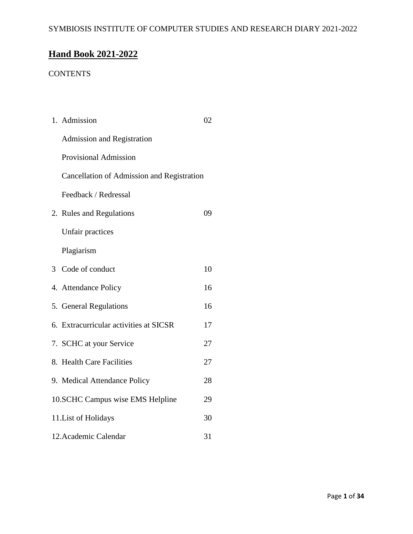# **Hand Book 2021-2022**

## **CONTENTS**

| 1. Admission                               | 02 |  |  |  |
|--------------------------------------------|----|--|--|--|
| <b>Admission and Registration</b>          |    |  |  |  |
| Provisional Admission                      |    |  |  |  |
| Cancellation of Admission and Registration |    |  |  |  |
| Feedback / Redressal                       |    |  |  |  |
| 2. Rules and Regulations                   | 09 |  |  |  |
| Unfair practices                           |    |  |  |  |
| Plagiarism                                 |    |  |  |  |
| 3 Code of conduct                          | 10 |  |  |  |
| 4. Attendance Policy                       | 16 |  |  |  |
| 5. General Regulations                     | 16 |  |  |  |
| 6. Extracurricular activities at SICSR     | 17 |  |  |  |
| 7. SCHC at your Service                    | 27 |  |  |  |
| 8. Health Care Facilities                  | 27 |  |  |  |
| 9. Medical Attendance Policy               | 28 |  |  |  |
| 10.SCHC Campus wise EMS Helpline<br>29     |    |  |  |  |
| 30<br>11. List of Holidays                 |    |  |  |  |
| 12. Academic Calendar                      | 31 |  |  |  |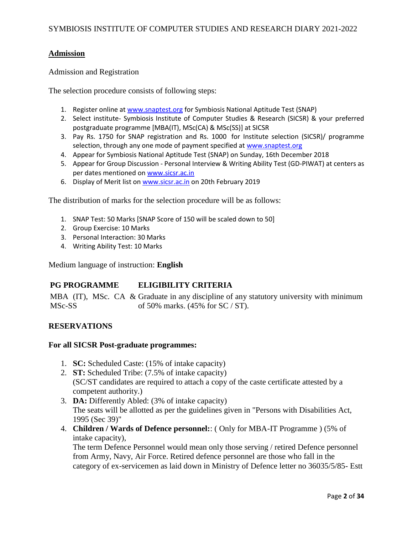### **Admission**

Admission and Registration

The selection procedure consists of following steps:

- 1. Register online a[t www.snaptest.org](http://www.snaptest.org/) for Symbiosis National Aptitude Test (SNAP)
- 2. Select institute- Symbiosis Institute of Computer Studies & Research (SICSR) & your preferred postgraduate programme [MBA(IT), MSc(CA) & MSc(SS)] at SICSR
- 3. Pay Rs. 1750 for SNAP registration and Rs. 1000 for Institute selection (SICSR)/ programme selection, through any one mode of payment specified at [www.snaptest.org](http://www.snaptest.org/)
- 4. Appear for Symbiosis National Aptitude Test (SNAP) on Sunday, 16th December 2018
- 5. Appear for Group Discussion Personal Interview & Writing Ability Test (GD-PIWAT) at centers as per dates mentioned on [www.sicsr.ac.in](https://www.sicsr.ac.in/)
- 6. Display of Merit list on [www.sicsr.ac.in](https://www.sicsr.ac.in/) on 20th February 2019

The distribution of marks for the selection procedure will be as follows:

- 1. SNAP Test: 50 Marks [SNAP Score of 150 will be scaled down to 50]
- 2. Group Exercise: 10 Marks
- 3. Personal Interaction: 30 Marks
- 4. Writing Ability Test: 10 Marks

Medium language of instruction: **English**

### **PG PROGRAMME ELIGIBILITY CRITERIA**

MBA (IT), MSc. CA & Graduate in any discipline of any statutory university with minimum MSc-SS of 50% marks. (45% for SC / ST).

## **RESERVATIONS**

#### **For all SICSR Post-graduate programmes:**

- 1. **SC:** Scheduled Caste: (15% of intake capacity)
- 2. **ST:** Scheduled Tribe: (7.5% of intake capacity) (SC/ST candidates are required to attach a copy of the caste certificate attested by a competent authority.)
- 3. **DA:** Differently Abled: (3% of intake capacity) The seats will be allotted as per the guidelines given in "Persons with Disabilities Act, 1995 (Sec 39)"
- 4. **Children / Wards of Defence personnel:**: ( Only for MBA-IT Programme ) (5% of intake capacity),

The term Defence Personnel would mean only those serving / retired Defence personnel from Army, Navy, Air Force. Retired defence personnel are those who fall in the category of ex-servicemen as laid down in Ministry of Defence letter no 36035/5/85- Estt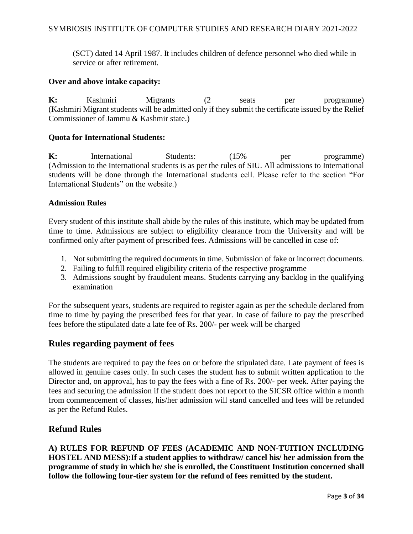(SCT) dated 14 April 1987. It includes children of defence personnel who died while in service or after retirement.

#### **Over and above intake capacity:**

**K:** Kashmiri Migrants (2 seats per programme) (Kashmiri Migrant students will be admitted only if they submit the certificate issued by the Relief Commissioner of Jammu & Kashmir state.)

#### **Quota for International Students:**

**K:** International Students: (15% per programme) (Admission to the International students is as per the rules of SIU. All admissions to International students will be done through the International students cell. Please refer to the section "For International Students" on the website.)

#### **Admission Rules**

Every student of this institute shall abide by the rules of this institute, which may be updated from time to time. Admissions are subject to eligibility clearance from the University and will be confirmed only after payment of prescribed fees. Admissions will be cancelled in case of:

- 1. Not submitting the required documents in time. Submission of fake or incorrect documents.
- 2. Failing to fulfill required eligibility criteria of the respective programme
- 3. Admissions sought by fraudulent means. Students carrying any backlog in the qualifying examination

For the subsequent years, students are required to register again as per the schedule declared from time to time by paying the prescribed fees for that year. In case of failure to pay the prescribed fees before the stipulated date a late fee of Rs. 200/- per week will be charged

### **Rules regarding payment of fees**

The students are required to pay the fees on or before the stipulated date. Late payment of fees is allowed in genuine cases only. In such cases the student has to submit written application to the Director and, on approval, has to pay the fees with a fine of Rs. 200/- per week. After paying the fees and securing the admission if the student does not report to the SICSR office within a month from commencement of classes, his/her admission will stand cancelled and fees will be refunded as per the Refund Rules.

## **Refund Rules**

**A) RULES FOR REFUND OF FEES (ACADEMIC AND NON-TUITION INCLUDING HOSTEL AND MESS):If a student applies to withdraw/ cancel his/ her admission from the programme of study in which he/ she is enrolled, the Constituent Institution concerned shall follow the following four-tier system for the refund of fees remitted by the student.**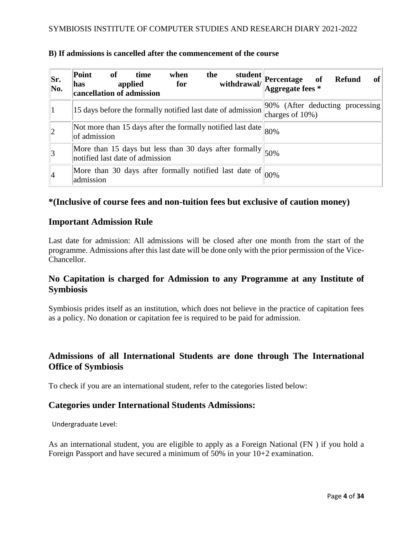| Sr.<br>No. | Point<br>of<br>time<br>the<br>student<br>when<br>withdrawal/<br>applied<br>for<br>has<br>cancellation of admission | Percentage of<br>Aggregate fees *<br><b>of</b><br><b>Refund</b> |
|------------|--------------------------------------------------------------------------------------------------------------------|-----------------------------------------------------------------|
|            | 15 days before the formally notified last date of admission                                                        | 90% (After deducting processing)<br>charges of $10\%$ )         |
| 2          | Not more than 15 days after the formally notified last date<br>of admission                                        | 80%                                                             |
| 3          | More than 15 days but less than 30 days after formally $ 50\% $                                                    |                                                                 |
|            | More than 30 days after formally notified last date of $ 00\% $<br>admission                                       |                                                                 |

### **B) If admissions is cancelled after the commencement of the course**

## **\*(Inclusive of course fees and non-tuition fees but exclusive of caution money)**

## **Important Admission Rule**

Last date for admission: All admissions will be closed after one month from the start of the programme. Admissions after this last date will be done only with the prior permission of the Vice-Chancellor.

## **No Capitation is charged for Admission to any Programme at any Institute of Symbiosis**

Symbiosis prides itself as an institution, which does not believe in the practice of capitation fees as a policy. No donation or capitation fee is required to be paid for admission.

## **Admissions of all International Students are done through The International Office of Symbiosis**

To check if you are an international student, refer to the categories listed below:

## **Categories under International Students Admissions:**

Undergraduate Level:

As an international student, you are eligible to apply as a Foreign National (FN ) if you hold a Foreign Passport and have secured a minimum of 50% in your 10+2 examination.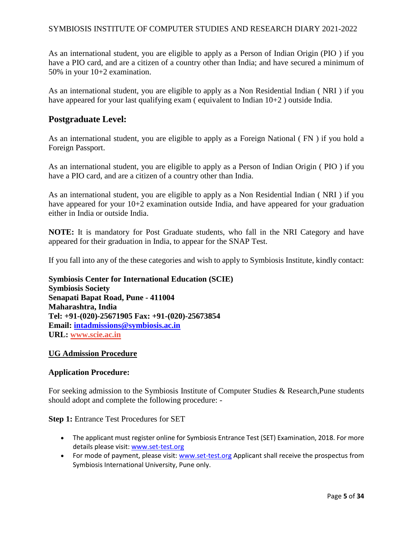As an international student, you are eligible to apply as a Person of Indian Origin (PIO ) if you have a PIO card, and are a citizen of a country other than India; and have secured a minimum of 50% in your 10+2 examination.

As an international student, you are eligible to apply as a Non Residential Indian ( NRI ) if you have appeared for your last qualifying exam (equivalent to Indian 10+2) outside India.

## **Postgraduate Level:**

As an international student, you are eligible to apply as a Foreign National ( FN ) if you hold a Foreign Passport.

As an international student, you are eligible to apply as a Person of Indian Origin ( PIO ) if you have a PIO card, and are a citizen of a country other than India.

As an international student, you are eligible to apply as a Non Residential Indian ( NRI ) if you have appeared for your  $10+2$  examination outside India, and have appeared for your graduation either in India or outside India.

**NOTE:** It is mandatory for Post Graduate students, who fall in the NRI Category and have appeared for their graduation in India, to appear for the SNAP Test.

If you fall into any of the these categories and wish to apply to Symbiosis Institute, kindly contact:

**Symbiosis Center for International Education (SCIE) Symbiosis Society Senapati Bapat Road, Pune - 411004 Maharashtra, India Tel: +91-(020)-25671905 Fax: +91-(020)-25673854 Email: [intadmissions@symbiosis.ac.in](mailto:intadmissions@symbiosis.ac.in) URL: [www.scie.ac.in](http://www.scie.ac.in/)**

### **UG Admission Procedure**

### **Application Procedure:**

For seeking admission to the Symbiosis Institute of Computer Studies & Research,Pune students should adopt and complete the following procedure: -

**Step 1:** Entrance Test Procedures for SET

- The applicant must register online for Symbiosis Entrance Test (SET) Examination, 2018. For more details please visit: [www.set-test.org](https://www.set-test.org/)
- For mode of payment, please visit: [www.set-test.org](https://www.set-test.org/) Applicant shall receive the prospectus from Symbiosis International University, Pune only.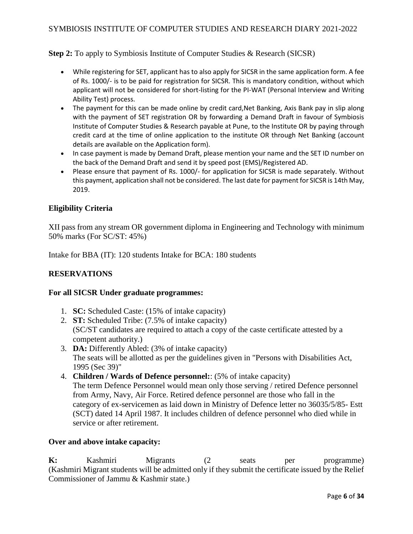**Step 2:** To apply to Symbiosis Institute of Computer Studies & Research (SICSR)

- While registering for SET, applicant has to also apply for SICSR in the same application form. A fee of Rs. 1000/- is to be paid for registration for SICSR. This is mandatory condition, without which applicant will not be considered for short-listing for the PI-WAT (Personal Interview and Writing Ability Test) process.
- The payment for this can be made online by credit card, Net Banking, Axis Bank pay in slip along with the payment of SET registration OR by forwarding a Demand Draft in favour of Symbiosis Institute of Computer Studies & Research payable at Pune, to the Institute OR by paying through credit card at the time of online application to the institute OR through Net Banking (account details are available on the Application form).
- In case payment is made by Demand Draft, please mention your name and the SET ID number on the back of the Demand Draft and send it by speed post (EMS)/Registered AD.
- Please ensure that payment of Rs. 1000/- for application for SICSR is made separately. Without this payment, application shall not be considered. The last date for payment for SICSR is 14th May, 2019.

## **Eligibility Criteria**

XII pass from any stream OR government diploma in Engineering and Technology with minimum 50% marks (For SC/ST: 45%)

Intake for BBA (IT): 120 students Intake for BCA: 180 students

### **RESERVATIONS**

#### **For all SICSR Under graduate programmes:**

- 1. **SC:** Scheduled Caste: (15% of intake capacity)
- 2. **ST:** Scheduled Tribe: (7.5% of intake capacity) (SC/ST candidates are required to attach a copy of the caste certificate attested by a competent authority.)
- 3. **DA:** Differently Abled: (3% of intake capacity) The seats will be allotted as per the guidelines given in "Persons with Disabilities Act, 1995 (Sec 39)"
- 4. **Children / Wards of Defence personnel:**: (5% of intake capacity) The term Defence Personnel would mean only those serving / retired Defence personnel from Army, Navy, Air Force. Retired defence personnel are those who fall in the category of ex-servicemen as laid down in Ministry of Defence letter no 36035/5/85- Estt (SCT) dated 14 April 1987. It includes children of defence personnel who died while in service or after retirement.

#### **Over and above intake capacity:**

**K:** Kashmiri Migrants (2 seats per programme) (Kashmiri Migrant students will be admitted only if they submit the certificate issued by the Relief Commissioner of Jammu & Kashmir state.)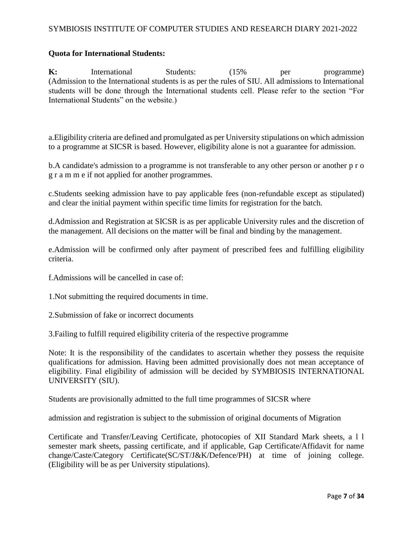## **Quota for International Students:**

**K:** International Students:  $(15\%$  per programme) (Admission to the International students is as per the rules of SIU. All admissions to International students will be done through the International students cell. Please refer to the section "For International Students" on the website.)

a.Eligibility criteria are defined and promulgated as per University stipulations on which admission to a programme at SICSR is based. However, eligibility alone is not a guarantee for admission.

b.A candidate's admission to a programme is not transferable to any other person or another p r o g r a m m e if not applied for another programmes.

c.Students seeking admission have to pay applicable fees (non-refundable except as stipulated) and clear the initial payment within specific time limits for registration for the batch.

d.Admission and Registration at SICSR is as per applicable University rules and the discretion of the management. All decisions on the matter will be final and binding by the management.

e.Admission will be confirmed only after payment of prescribed fees and fulfilling eligibility criteria.

f.Admissions will be cancelled in case of:

1.Not submitting the required documents in time.

2.Submission of fake or incorrect documents

3.Failing to fulfill required eligibility criteria of the respective programme

Note: It is the responsibility of the candidates to ascertain whether they possess the requisite qualifications for admission. Having been admitted provisionally does not mean acceptance of eligibility. Final eligibility of admission will be decided by SYMBIOSIS INTERNATIONAL UNIVERSITY (SIU).

Students are provisionally admitted to the full time programmes of SICSR where

admission and registration is subject to the submission of original documents of Migration

Certificate and Transfer/Leaving Certificate, photocopies of XII Standard Mark sheets, a l l semester mark sheets, passing certificate, and if applicable, Gap Certificate/Affidavit for name change/Caste/Category Certificate(SC/ST/J&K/Defence/PH) at time of joining college. (Eligibility will be as per University stipulations).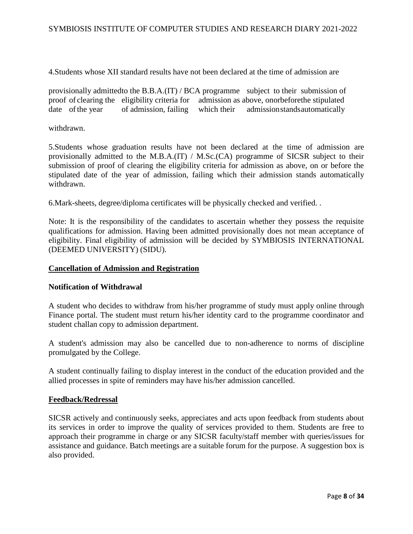4.Students whose XII standard results have not been declared at the time of admission are

provisionally admittedto the B.B.A.(IT) / BCA programme subject to their submission of proof of clearing the eligibility criteria for admission as above, onorbeforethe stipulated date of the year of admission, failing which their admission stands automatically

withdrawn.

5.Students whose graduation results have not been declared at the time of admission are provisionally admitted to the M.B.A.(IT) / M.Sc.(CA) programme of SICSR subject to their submission of proof of clearing the eligibility criteria for admission as above, on or before the stipulated date of the year of admission, failing which their admission stands automatically withdrawn.

6.Mark-sheets, degree/diploma certificates will be physically checked and verified. .

Note: It is the responsibility of the candidates to ascertain whether they possess the requisite qualifications for admission. Having been admitted provisionally does not mean acceptance of eligibility. Final eligibility of admission will be decided by SYMBIOSIS INTERNATIONAL (DEEMED UNIVERSITY) (SIDU).

#### **Cancellation of Admission and Registration**

#### **Notification of Withdrawal**

A student who decides to withdraw from his/her programme of study must apply online through Finance portal. The student must return his/her identity card to the programme coordinator and student challan copy to admission department.

A student's admission may also be cancelled due to non-adherence to norms of discipline promulgated by the College.

A student continually failing to display interest in the conduct of the education provided and the allied processes in spite of reminders may have his/her admission cancelled.

#### **Feedback/Redressal**

SICSR actively and continuously seeks, appreciates and acts upon feedback from students about its services in order to improve the quality of services provided to them. Students are free to approach their programme in charge or any SICSR faculty/staff member with queries/issues for assistance and guidance. Batch meetings are a suitable forum for the purpose. A suggestion box is also provided.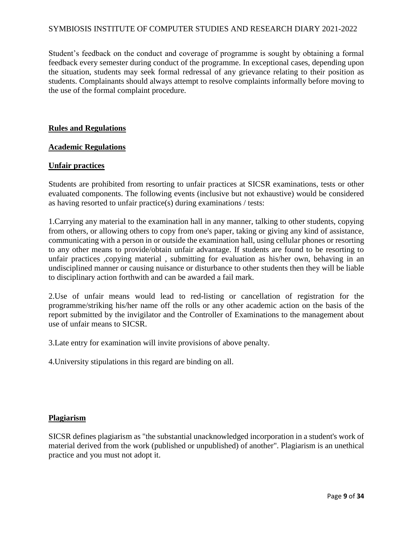Student's feedback on the conduct and coverage of programme is sought by obtaining a formal feedback every semester during conduct of the programme. In exceptional cases, depending upon the situation, students may seek formal redressal of any grievance relating to their position as students. Complainants should always attempt to resolve complaints informally before moving to the use of the formal complaint procedure.

#### **Rules and Regulations**

#### **Academic Regulations**

#### **Unfair practices**

Students are prohibited from resorting to unfair practices at SICSR examinations, tests or other evaluated components. The following events (inclusive but not exhaustive) would be considered as having resorted to unfair practice(s) during examinations / tests:

1.Carrying any material to the examination hall in any manner, talking to other students, copying from others, or allowing others to copy from one's paper, taking or giving any kind of assistance, communicating with a person in or outside the examination hall, using cellular phones or resorting to any other means to provide/obtain unfair advantage. If students are found to be resorting to unfair practices ,copying material , submitting for evaluation as his/her own, behaving in an undisciplined manner or causing nuisance or disturbance to other students then they will be liable to disciplinary action forthwith and can be awarded a fail mark.

2.Use of unfair means would lead to red-listing or cancellation of registration for the programme/striking his/her name off the rolls or any other academic action on the basis of the report submitted by the invigilator and the Controller of Examinations to the management about use of unfair means to SICSR.

3.Late entry for examination will invite provisions of above penalty.

4.University stipulations in this regard are binding on all.

#### **Plagiarism**

SICSR defines plagiarism as "the substantial unacknowledged incorporation in a student's work of material derived from the work (published or unpublished) of another". Plagiarism is an unethical practice and you must not adopt it.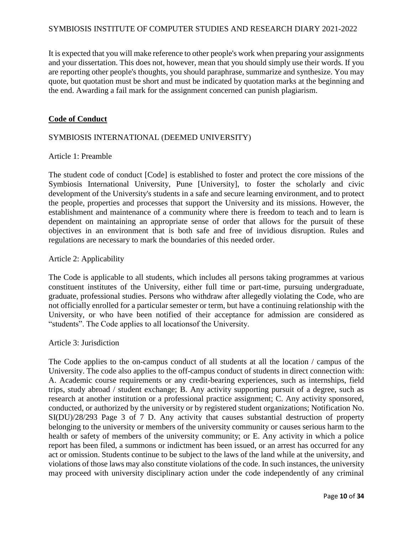It is expected that you will make reference to other people's work when preparing your assignments and your dissertation. This does not, however, mean that you should simply use their words. If you are reporting other people's thoughts, you should paraphrase, summarize and synthesize. You may quote, but quotation must be short and must be indicated by quotation marks at the beginning and the end. Awarding a fail mark for the assignment concerned can punish plagiarism.

#### **Code of Conduct**

#### SYMBIOSIS INTERNATIONAL (DEEMED UNIVERSITY)

#### Article 1: Preamble

The student code of conduct [Code] is established to foster and protect the core missions of the Symbiosis International University, Pune [University], to foster the scholarly and civic development of the University's students in a safe and secure learning environment, and to protect the people, properties and processes that support the University and its missions. However, the establishment and maintenance of a community where there is freedom to teach and to learn is dependent on maintaining an appropriate sense of order that allows for the pursuit of these objectives in an environment that is both safe and free of invidious disruption. Rules and regulations are necessary to mark the boundaries of this needed order.

#### Article 2: Applicability

The Code is applicable to all students, which includes all persons taking programmes at various constituent institutes of the University, either full time or part-time, pursuing undergraduate, graduate, professional studies. Persons who withdraw after allegedly violating the Code, who are not officially enrolled for a particular semester or term, but have a continuing relationship with the University, or who have been notified of their acceptance for admission are considered as "students". The Code applies to all locationsof the University.

#### Article 3: Jurisdiction

The Code applies to the on-campus conduct of all students at all the location / campus of the University. The code also applies to the off-campus conduct of students in direct connection with: A. Academic course requirements or any credit-bearing experiences, such as internships, field trips, study abroad / student exchange; B. Any activity supporting pursuit of a degree, such as research at another institution or a professional practice assignment; C. Any activity sponsored, conducted, or authorized by the university or by registered student organizations; Notification No. SI(DU)/28/293 Page 3 of 7 D. Any activity that causes substantial destruction of property belonging to the university or members of the university community or causes serious harm to the health or safety of members of the university community; or E. Any activity in which a police report has been filed, a summons or indictment has been issued, or an arrest has occurred for any act or omission. Students continue to be subject to the laws of the land while at the university, and violations of those laws may also constitute violations of the code. In such instances, the university may proceed with university disciplinary action under the code independently of any criminal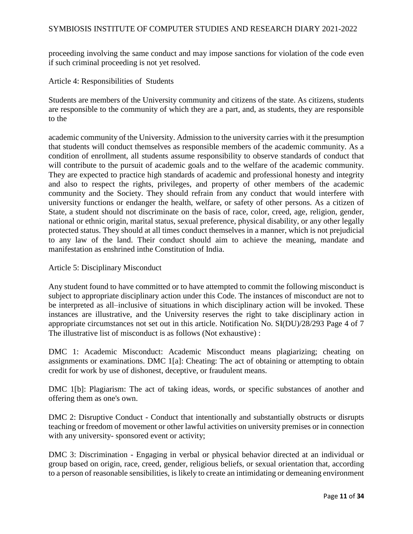proceeding involving the same conduct and may impose sanctions for violation of the code even if such criminal proceeding is not yet resolved.

Article 4: Responsibilities of Students

Students are members of the University community and citizens of the state. As citizens, students are responsible to the community of which they are a part, and, as students, they are responsible to the

academic community of the University. Admission to the university carries with it the presumption that students will conduct themselves as responsible members of the academic community. As a condition of enrollment, all students assume responsibility to observe standards of conduct that will contribute to the pursuit of academic goals and to the welfare of the academic community. They are expected to practice high standards of academic and professional honesty and integrity and also to respect the rights, privileges, and property of other members of the academic community and the Society. They should refrain from any conduct that would interfere with university functions or endanger the health, welfare, or safety of other persons. As a citizen of State, a student should not discriminate on the basis of race, color, creed, age, religion, gender, national or ethnic origin, marital status, sexual preference, physical disability, or any other legally protected status. They should at all times conduct themselves in a manner, which is not prejudicial to any law of the land. Their conduct should aim to achieve the meaning, mandate and manifestation as enshrined inthe Constitution of India.

Article 5: Disciplinary Misconduct

Any student found to have committed or to have attempted to commit the following misconduct is subject to appropriate disciplinary action under this Code. The instances of misconduct are not to be interpreted as all–inclusive of situations in which disciplinary action will be invoked. These instances are illustrative, and the University reserves the right to take disciplinary action in appropriate circumstances not set out in this article. Notification No. SI(DU)/28/293 Page 4 of 7 The illustrative list of misconduct is as follows (Not exhaustive) :

DMC 1: Academic Misconduct: Academic Misconduct means plagiarizing; cheating on assignments or examinations. DMC 1[a]: Cheating: The act of obtaining or attempting to obtain credit for work by use of dishonest, deceptive, or fraudulent means.

DMC 1[b]: Plagiarism: The act of taking ideas, words, or specific substances of another and offering them as one's own.

DMC 2: Disruptive Conduct - Conduct that intentionally and substantially obstructs or disrupts teaching or freedom of movement or other lawful activities on university premises or in connection with any university-sponsored event or activity;

DMC 3: Discrimination - Engaging in verbal or physical behavior directed at an individual or group based on origin, race, creed, gender, religious beliefs, or sexual orientation that, according to a person of reasonable sensibilities, is likely to create an intimidating or demeaning environment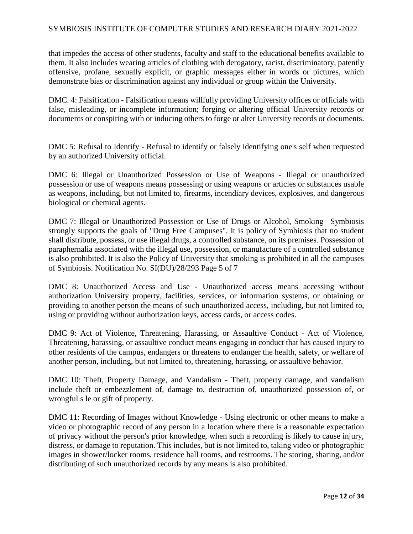that impedes the access of other students, faculty and staff to the educational benefits available to them. It also includes wearing articles of clothing with derogatory, racist, discriminatory, patently offensive, profane, sexually explicit, or graphic messages either in words or pictures, which demonstrate bias or discrimination against any individual or group within the University.

DMC. 4: Falsification - Falsification means willfully providing University offices or officials with false, misleading, or incomplete information; forging or altering official University records or documents or conspiring with or inducing others to forge or alter University records or documents.

DMC 5: Refusal to Identify - Refusal to identify or falsely identifying one's self when requested by an authorized University official.

DMC 6: Illegal or Unauthorized Possession or Use of Weapons - Illegal or unauthorized possession or use of weapons means possessing or using weapons or articles or substances usable as weapons, including, but not limited to, firearms, incendiary devices, explosives, and dangerous biological or chemical agents.

DMC 7: Illegal or Unauthorized Possession or Use of Drugs or Alcohol, Smoking –Symbiosis strongly supports the goals of "Drug Free Campuses". It is policy of Symbiosis that no student shall distribute, possess, or use illegal drugs, a controlled substance, on its premises. Possession of paraphernalia associated with the illegal use, possession, or manufacture of a controlled substance is also prohibited. It is also the Policy of University that smoking is prohibited in all the campuses of Symbiosis. Notification No. SI(DU)/28/293 Page 5 of 7

DMC 8: Unauthorized Access and Use - Unauthorized access means accessing without authorization University property, facilities, services, or information systems, or obtaining or providing to another person the means of such unauthorized access, including, but not limited to, using or providing without authorization keys, access cards, or access codes.

DMC 9: Act of Violence, Threatening, Harassing, or Assaultive Conduct - Act of Violence, Threatening, harassing, or assaultive conduct means engaging in conduct that has caused injury to other residents of the campus, endangers or threatens to endanger the health, safety, or welfare of another person, including, but not limited to, threatening, harassing, or assaultive behavior.

DMC 10: Theft, Property Damage, and Vandalism - Theft, property damage, and vandalism include theft or embezzlement of, damage to, destruction of, unauthorized possession of, or wrongful s le or gift of property.

DMC 11: Recording of Images without Knowledge - Using electronic or other means to make a video or photographic record of any person in a location where there is a reasonable expectation of privacy without the person's prior knowledge, when such a recording is likely to cause injury, distress, or damage to reputation. This includes, but is not limited to, taking video or photographic images in shower/locker rooms, residence hall rooms, and restrooms. The storing, sharing, and/or distributing of such unauthorized records by any means is also prohibited.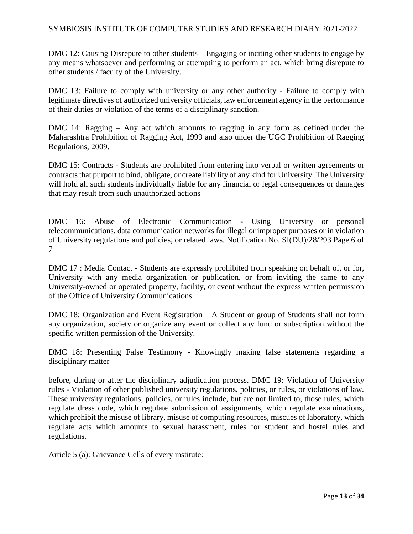DMC 12: Causing Disrepute to other students – Engaging or inciting other students to engage by any means whatsoever and performing or attempting to perform an act, which bring disrepute to other students / faculty of the University.

DMC 13: Failure to comply with university or any other authority - Failure to comply with legitimate directives of authorized university officials, law enforcement agency in the performance of their duties or violation of the terms of a disciplinary sanction.

DMC 14: Ragging – Any act which amounts to ragging in any form as defined under the Maharashtra Prohibition of Ragging Act, 1999 and also under the UGC Prohibition of Ragging Regulations, 2009.

DMC 15: Contracts - Students are prohibited from entering into verbal or written agreements or contracts that purport to bind, obligate, or create liability of any kind for University. The University will hold all such students individually liable for any financial or legal consequences or damages that may result from such unauthorized actions

DMC 16: Abuse of Electronic Communication - Using University or personal telecommunications, data communication networks for illegal or improper purposes or in violation of University regulations and policies, or related laws. Notification No. SI(DU)/28/293 Page 6 of 7

DMC 17 : Media Contact - Students are expressly prohibited from speaking on behalf of, or for, University with any media organization or publication, or from inviting the same to any University-owned or operated property, facility, or event without the express written permission of the Office of University Communications.

DMC 18: Organization and Event Registration – A Student or group of Students shall not form any organization, society or organize any event or collect any fund or subscription without the specific written permission of the University.

DMC 18: Presenting False Testimony - Knowingly making false statements regarding a disciplinary matter

before, during or after the disciplinary adjudication process. DMC 19: Violation of University rules - Violation of other published university regulations, policies, or rules, or violations of law. These university regulations, policies, or rules include, but are not limited to, those rules, which regulate dress code, which regulate submission of assignments, which regulate examinations, which prohibit the misuse of library, misuse of computing resources, miscues of laboratory, which regulate acts which amounts to sexual harassment, rules for student and hostel rules and regulations.

Article 5 (a): Grievance Cells of every institute: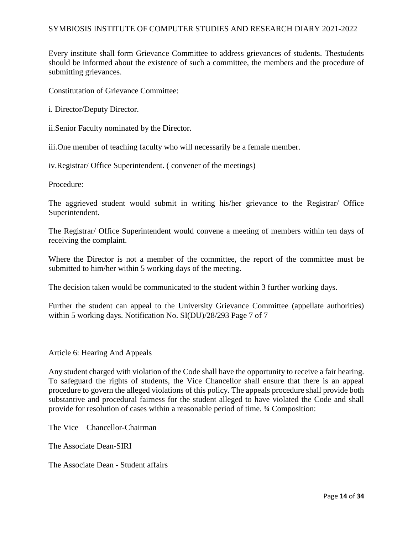Every institute shall form Grievance Committee to address grievances of students. Thestudents should be informed about the existence of such a committee, the members and the procedure of submitting grievances.

Constitutation of Grievance Committee:

i. Director/Deputy Director.

ii.Senior Faculty nominated by the Director.

iii.One member of teaching faculty who will necessarily be a female member.

iv.Registrar/ Office Superintendent. ( convener of the meetings)

Procedure:

The aggrieved student would submit in writing his/her grievance to the Registrar/ Office Superintendent.

The Registrar/ Office Superintendent would convene a meeting of members within ten days of receiving the complaint.

Where the Director is not a member of the committee, the report of the committee must be submitted to him/her within 5 working days of the meeting.

The decision taken would be communicated to the student within 3 further working days.

Further the student can appeal to the University Grievance Committee (appellate authorities) within 5 working days. Notification No. SI(DU)/28/293 Page 7 of 7

Article 6: Hearing And Appeals

Any student charged with violation of the Code shall have the opportunity to receive a fair hearing. To safeguard the rights of students, the Vice Chancellor shall ensure that there is an appeal procedure to govern the alleged violations of this policy. The appeals procedure shall provide both substantive and procedural fairness for the student alleged to have violated the Code and shall provide for resolution of cases within a reasonable period of time. ¾ Composition:

The Vice – Chancellor-Chairman

The Associate Dean-SIRI

The Associate Dean - Student affairs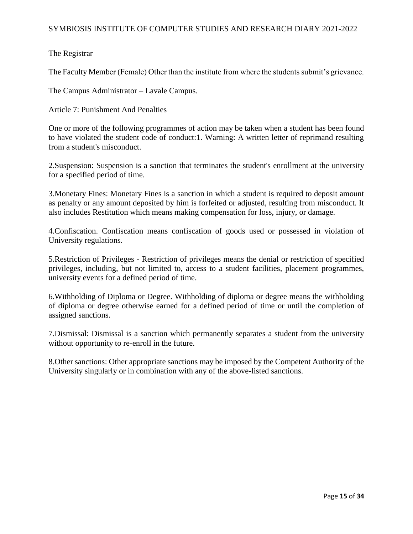## The Registrar

The Faculty Member (Female) Other than the institute from where the students submit's grievance.

The Campus Administrator – Lavale Campus.

Article 7: Punishment And Penalties

One or more of the following programmes of action may be taken when a student has been found to have violated the student code of conduct:1. Warning: A written letter of reprimand resulting from a student's misconduct.

2.Suspension: Suspension is a sanction that terminates the student's enrollment at the university for a specified period of time.

3.Monetary Fines: Monetary Fines is a sanction in which a student is required to deposit amount as penalty or any amount deposited by him is forfeited or adjusted, resulting from misconduct. It also includes Restitution which means making compensation for loss, injury, or damage.

4.Confiscation. Confiscation means confiscation of goods used or possessed in violation of University regulations.

5.Restriction of Privileges - Restriction of privileges means the denial or restriction of specified privileges, including, but not limited to, access to a student facilities, placement programmes, university events for a defined period of time.

6.Withholding of Diploma or Degree. Withholding of diploma or degree means the withholding of diploma or degree otherwise earned for a defined period of time or until the completion of assigned sanctions.

7.Dismissal: Dismissal is a sanction which permanently separates a student from the university without opportunity to re-enroll in the future.

8.Other sanctions: Other appropriate sanctions may be imposed by the Competent Authority of the University singularly or in combination with any of the above-listed sanctions.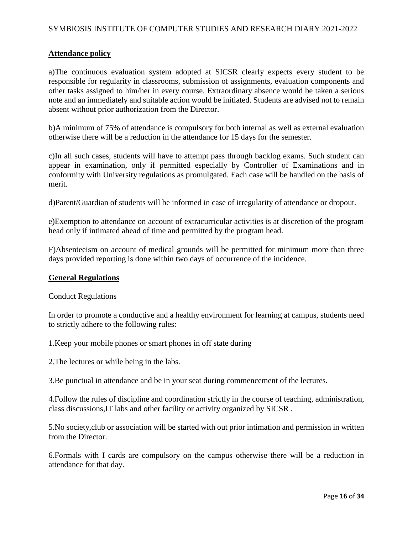#### **Attendance policy**

a)The continuous evaluation system adopted at SICSR clearly expects every student to be responsible for regularity in classrooms, submission of assignments, evaluation components and other tasks assigned to him/her in every course. Extraordinary absence would be taken a serious note and an immediately and suitable action would be initiated. Students are advised not to remain absent without prior authorization from the Director.

b)A minimum of 75% of attendance is compulsory for both internal as well as external evaluation otherwise there will be a reduction in the attendance for 15 days for the semester.

c)In all such cases, students will have to attempt pass through backlog exams. Such student can appear in examination, only if permitted especially by Controller of Examinations and in conformity with University regulations as promulgated. Each case will be handled on the basis of merit.

d)Parent/Guardian of students will be informed in case of irregularity of attendance or dropout.

e)Exemption to attendance on account of extracurricular activities is at discretion of the program head only if intimated ahead of time and permitted by the program head.

F)Absenteeism on account of medical grounds will be permitted for minimum more than three days provided reporting is done within two days of occurrence of the incidence.

#### **General Regulations**

Conduct Regulations

In order to promote a conductive and a healthy environment for learning at campus, students need to strictly adhere to the following rules:

1.Keep your mobile phones or smart phones in off state during

2.The lectures or while being in the labs.

3.Be punctual in attendance and be in your seat during commencement of the lectures.

4.Follow the rules of discipline and coordination strictly in the course of teaching, administration, class discussions,IT labs and other facility or activity organized by SICSR .

5.No society,club or association will be started with out prior intimation and permission in written from the Director.

6.Formals with I cards are compulsory on the campus otherwise there will be a reduction in attendance for that day.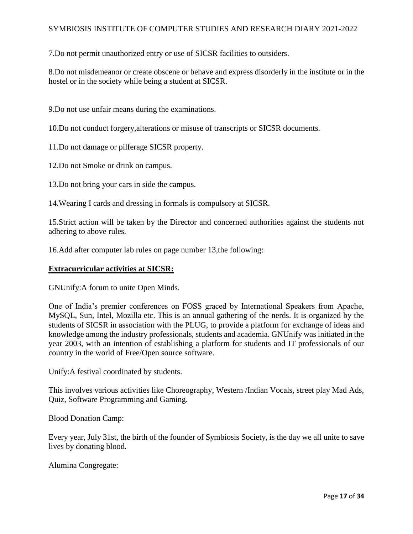7.Do not permit unauthorized entry or use of SICSR facilities to outsiders.

8.Do not misdemeanor or create obscene or behave and express disorderly in the institute or in the hostel or in the society while being a student at SICSR.

9.Do not use unfair means during the examinations.

10.Do not conduct forgery,alterations or misuse of transcripts or SICSR documents.

11.Do not damage or pilferage SICSR property.

12.Do not Smoke or drink on campus.

13.Do not bring your cars in side the campus.

14.Wearing I cards and dressing in formals is compulsory at SICSR.

15.Strict action will be taken by the Director and concerned authorities against the students not adhering to above rules.

16.Add after computer lab rules on page number 13,the following:

#### **Extracurricular activities at SICSR:**

GNUnify:A forum to unite Open Minds.

One of India's premier conferences on FOSS graced by International Speakers from Apache, MySQL, Sun, Intel, Mozilla etc. This is an annual gathering of the nerds. It is organized by the students of SICSR in association with the PLUG, to provide a platform for exchange of ideas and knowledge among the industry professionals, students and academia. GNUnify was initiated in the year 2003, with an intention of establishing a platform for students and IT professionals of our country in the world of Free/Open source software.

Unify:A festival coordinated by students.

This involves various activities like Choreography, Western /Indian Vocals, street play Mad Ads, Quiz, Software Programming and Gaming.

Blood Donation Camp:

Every year, July 31st, the birth of the founder of Symbiosis Society, is the day we all unite to save lives by donating blood.

Alumina Congregate: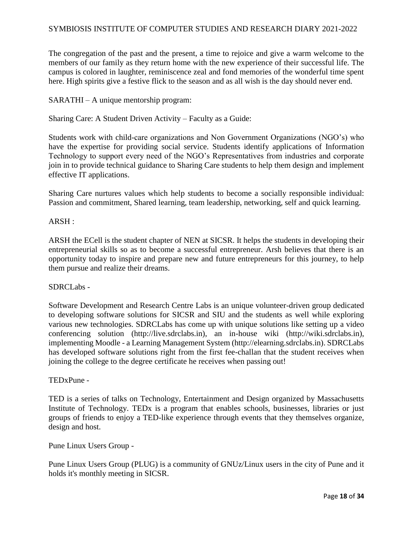The congregation of the past and the present, a time to rejoice and give a warm welcome to the members of our family as they return home with the new experience of their successful life. The campus is colored in laughter, reminiscence zeal and fond memories of the wonderful time spent here. High spirits give a festive flick to the season and as all wish is the day should never end.

SARATHI – A unique mentorship program:

Sharing Care: A Student Driven Activity – Faculty as a Guide:

Students work with child-care organizations and Non Government Organizations (NGO's) who have the expertise for providing social service. Students identify applications of Information Technology to support every need of the NGO's Representatives from industries and corporate join in to provide technical guidance to Sharing Care students to help them design and implement effective IT applications.

Sharing Care nurtures values which help students to become a socially responsible individual: Passion and commitment, Shared learning, team leadership, networking, self and quick learning.

#### ARSH :

ARSH the ECell is the student chapter of NEN at SICSR. It helps the students in developing their entrepreneurial skills so as to become a successful entrepreneur. Arsh believes that there is an opportunity today to inspire and prepare new and future entrepreneurs for this journey, to help them pursue and realize their dreams.

#### SDRCLabs -

Software Development and Research Centre Labs is an unique volunteer-driven group dedicated to developing software solutions for SICSR and SIU and the students as well while exploring various new technologies. SDRCLabs has come up with unique solutions like setting up a video conferencing solution (http://live.sdrclabs.in), an in-house wiki (http://wiki.sdrclabs.in), implementing Moodle - a Learning Management System (http://elearning.sdrclabs.in). SDRCLabs has developed software solutions right from the first fee-challan that the student receives when joining the college to the degree certificate he receives when passing out!

#### TEDxPune -

TED is a series of talks on Technology, Entertainment and Design organized by Massachusetts Institute of Technology. TEDx is a program that enables schools, businesses, libraries or just groups of friends to enjoy a TED-like experience through events that they themselves organize, design and host.

Pune Linux Users Group -

Pune Linux Users Group (PLUG) is a community of GNUz/Linux users in the city of Pune and it holds it's monthly meeting in SICSR.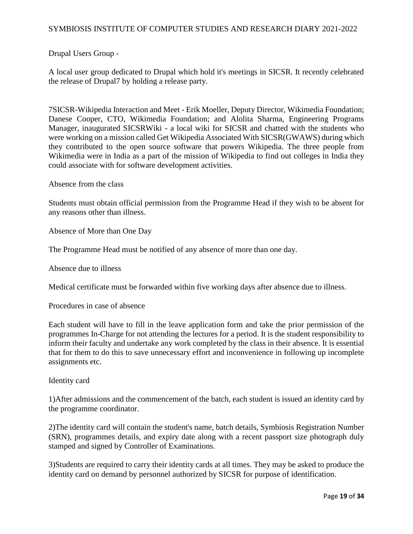## Drupal Users Group -

A local user group dedicated to Drupal which hold it's meetings in SICSR. It recently celebrated the release of Drupal7 by holding a release party.

7SICSR-Wikipedia Interaction and Meet - Erik Moeller, Deputy Director, Wikimedia Foundation; Danese Cooper, CTO, Wikimedia Foundation; and Alolita Sharma, Engineering Programs Manager, inaugurated SICSRWiki - a local wiki for SICSR and chatted with the students who were working on a mission called Get Wikipedia Associated With SICSR(GWAWS) during which they contributed to the open source software that powers Wikipedia. The three people from Wikimedia were in India as a part of the mission of Wikipedia to find out colleges in India they could associate with for software development activities.

Absence from the class

Students must obtain official permission from the Programme Head if they wish to be absent for any reasons other than illness.

Absence of More than One Day

The Programme Head must be notified of any absence of more than one day.

Absence due to illness

Medical certificate must be forwarded within five working days after absence due to illness.

Procedures in case of absence

Each student will have to fill in the leave application form and take the prior permission of the programmes In-Charge for not attending the lectures for a period. It is the student responsibility to inform their faculty and undertake any work completed by the class in their absence. It is essential that for them to do this to save unnecessary effort and inconvenience in following up incomplete assignments etc.

Identity card

1)After admissions and the commencement of the batch, each student is issued an identity card by the programme coordinator.

2)The identity card will contain the student's name, batch details, Symbiosis Registration Number (SRN), programmes details, and expiry date along with a recent passport size photograph duly stamped and signed by Controller of Examinations.

3)Students are required to carry their identity cards at all times. They may be asked to produce the identity card on demand by personnel authorized by SICSR for purpose of identification.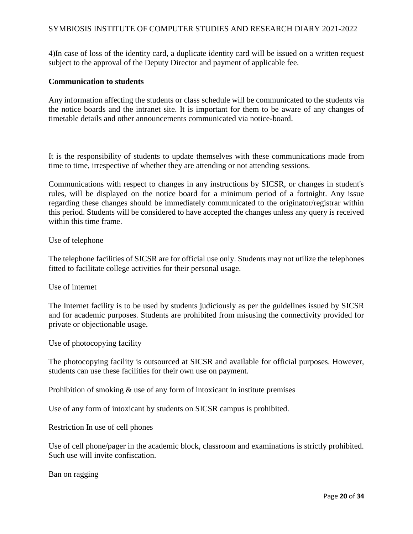4)In case of loss of the identity card, a duplicate identity card will be issued on a written request subject to the approval of the Deputy Director and payment of applicable fee.

#### **Communication to students**

Any information affecting the students or class schedule will be communicated to the students via the notice boards and the intranet site. It is important for them to be aware of any changes of timetable details and other announcements communicated via notice-board.

It is the responsibility of students to update themselves with these communications made from time to time, irrespective of whether they are attending or not attending sessions.

Communications with respect to changes in any instructions by SICSR, or changes in student's rules, will be displayed on the notice board for a minimum period of a fortnight. Any issue regarding these changes should be immediately communicated to the originator/registrar within this period. Students will be considered to have accepted the changes unless any query is received within this time frame.

#### Use of telephone

The telephone facilities of SICSR are for official use only. Students may not utilize the telephones fitted to facilitate college activities for their personal usage.

#### Use of internet

The Internet facility is to be used by students judiciously as per the guidelines issued by SICSR and for academic purposes. Students are prohibited from misusing the connectivity provided for private or objectionable usage.

Use of photocopying facility

The photocopying facility is outsourced at SICSR and available for official purposes. However, students can use these facilities for their own use on payment.

Prohibition of smoking & use of any form of intoxicant in institute premises

Use of any form of intoxicant by students on SICSR campus is prohibited.

Restriction In use of cell phones

Use of cell phone/pager in the academic block, classroom and examinations is strictly prohibited. Such use will invite confiscation.

Ban on ragging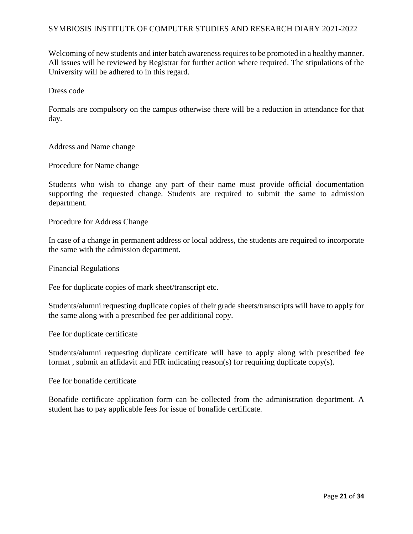Welcoming of new students and inter batch awareness requires to be promoted in a healthy manner. All issues will be reviewed by Registrar for further action where required. The stipulations of the University will be adhered to in this regard.

Dress code

Formals are compulsory on the campus otherwise there will be a reduction in attendance for that day.

Address and Name change

Procedure for Name change

Students who wish to change any part of their name must provide official documentation supporting the requested change. Students are required to submit the same to admission department.

Procedure for Address Change

In case of a change in permanent address or local address, the students are required to incorporate the same with the admission department.

Financial Regulations

Fee for duplicate copies of mark sheet/transcript etc.

Students/alumni requesting duplicate copies of their grade sheets/transcripts will have to apply for the same along with a prescribed fee per additional copy.

Fee for duplicate certificate

Students/alumni requesting duplicate certificate will have to apply along with prescribed fee format , submit an affidavit and FIR indicating reason(s) for requiring duplicate copy(s).

Fee for bonafide certificate

Bonafide certificate application form can be collected from the administration department. A student has to pay applicable fees for issue of bonafide certificate.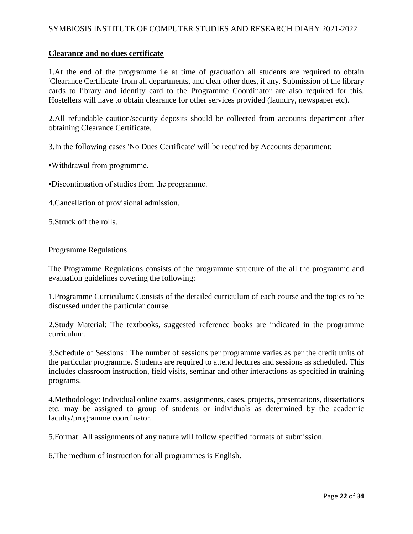#### **Clearance and no dues certificate**

1.At the end of the programme i.e at time of graduation all students are required to obtain 'Clearance Certificate' from all departments, and clear other dues, if any. Submission of the library cards to library and identity card to the Programme Coordinator are also required for this. Hostellers will have to obtain clearance for other services provided (laundry, newspaper etc).

2.All refundable caution/security deposits should be collected from accounts department after obtaining Clearance Certificate.

3.In the following cases 'No Dues Certificate' will be required by Accounts department:

•Withdrawal from programme.

•Discontinuation of studies from the programme.

4.Cancellation of provisional admission.

5.Struck off the rolls.

#### Programme Regulations

The Programme Regulations consists of the programme structure of the all the programme and evaluation guidelines covering the following:

1.Programme Curriculum: Consists of the detailed curriculum of each course and the topics to be discussed under the particular course.

2.Study Material: The textbooks, suggested reference books are indicated in the programme curriculum.

3.Schedule of Sessions : The number of sessions per programme varies as per the credit units of the particular programme. Students are required to attend lectures and sessions as scheduled. This includes classroom instruction, field visits, seminar and other interactions as specified in training programs.

4.Methodology: Individual online exams, assignments, cases, projects, presentations, dissertations etc. may be assigned to group of students or individuals as determined by the academic faculty/programme coordinator.

5.Format: All assignments of any nature will follow specified formats of submission.

6.The medium of instruction for all programmes is English.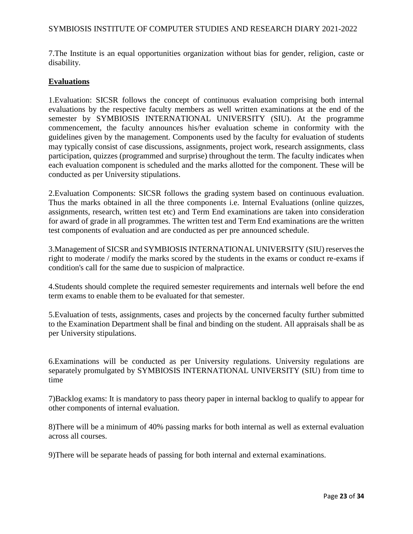7.The Institute is an equal opportunities organization without bias for gender, religion, caste or disability.

#### **Evaluations**

1.Evaluation: SICSR follows the concept of continuous evaluation comprising both internal evaluations by the respective faculty members as well written examinations at the end of the semester by SYMBIOSIS INTERNATIONAL UNIVERSITY (SIU). At the programme commencement, the faculty announces his/her evaluation scheme in conformity with the guidelines given by the management. Components used by the faculty for evaluation of students may typically consist of case discussions, assignments, project work, research assignments, class participation, quizzes (programmed and surprise) throughout the term. The faculty indicates when each evaluation component is scheduled and the marks allotted for the component. These will be conducted as per University stipulations.

2.Evaluation Components: SICSR follows the grading system based on continuous evaluation. Thus the marks obtained in all the three components i.e. Internal Evaluations (online quizzes, assignments, research, written test etc) and Term End examinations are taken into consideration for award of grade in all programmes. The written test and Term End examinations are the written test components of evaluation and are conducted as per pre announced schedule.

3.Management of SICSR and SYMBIOSIS INTERNATIONAL UNIVERSITY (SIU) reserves the right to moderate / modify the marks scored by the students in the exams or conduct re-exams if condition's call for the same due to suspicion of malpractice.

4.Students should complete the required semester requirements and internals well before the end term exams to enable them to be evaluated for that semester.

5.Evaluation of tests, assignments, cases and projects by the concerned faculty further submitted to the Examination Department shall be final and binding on the student. All appraisals shall be as per University stipulations.

6.Examinations will be conducted as per University regulations. University regulations are separately promulgated by SYMBIOSIS INTERNATIONAL UNIVERSITY (SIU) from time to time

7)Backlog exams: It is mandatory to pass theory paper in internal backlog to qualify to appear for other components of internal evaluation.

8)There will be a minimum of 40% passing marks for both internal as well as external evaluation across all courses.

9)There will be separate heads of passing for both internal and external examinations.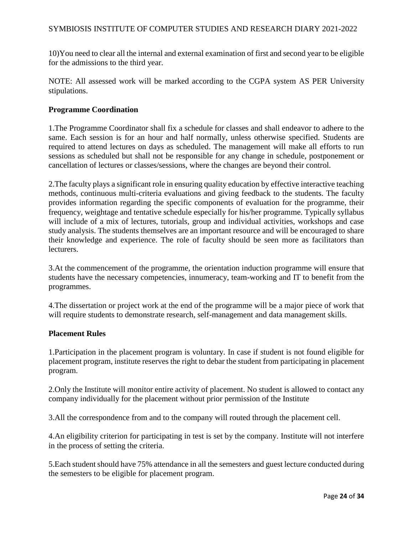10)You need to clear all the internal and external examination of first and second year to be eligible for the admissions to the third year.

NOTE: All assessed work will be marked according to the CGPA system AS PER University stipulations.

#### **Programme Coordination**

1.The Programme Coordinator shall fix a schedule for classes and shall endeavor to adhere to the same. Each session is for an hour and half normally, unless otherwise specified. Students are required to attend lectures on days as scheduled. The management will make all efforts to run sessions as scheduled but shall not be responsible for any change in schedule, postponement or cancellation of lectures or classes/sessions, where the changes are beyond their control.

2.The faculty plays a significant role in ensuring quality education by effective interactive teaching methods, continuous multi-criteria evaluations and giving feedback to the students. The faculty provides information regarding the specific components of evaluation for the programme, their frequency, weightage and tentative schedule especially for his/her programme. Typically syllabus will include of a mix of lectures, tutorials, group and individual activities, workshops and case study analysis. The students themselves are an important resource and will be encouraged to share their knowledge and experience. The role of faculty should be seen more as facilitators than lecturers.

3.At the commencement of the programme, the orientation induction programme will ensure that students have the necessary competencies, innumeracy, team-working and IT to benefit from the programmes.

4.The dissertation or project work at the end of the programme will be a major piece of work that will require students to demonstrate research, self-management and data management skills.

## **Placement Rules**

1.Participation in the placement program is voluntary. In case if student is not found eligible for placement program, institute reserves the right to debar the student from participating in placement program.

2.Only the Institute will monitor entire activity of placement. No student is allowed to contact any company individually for the placement without prior permission of the Institute

3.All the correspondence from and to the company will routed through the placement cell.

4.An eligibility criterion for participating in test is set by the company. Institute will not interfere in the process of setting the criteria.

5.Each student should have 75% attendance in all the semesters and guest lecture conducted during the semesters to be eligible for placement program.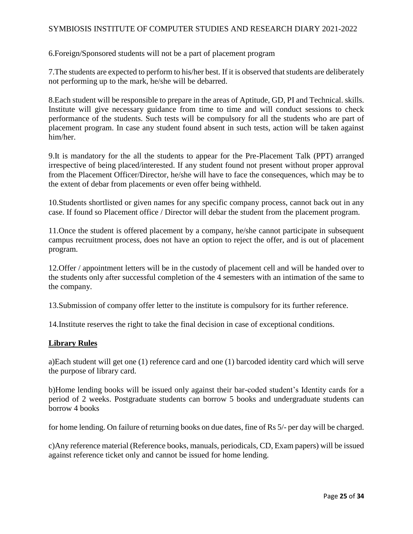6.Foreign/Sponsored students will not be a part of placement program

7.The students are expected to perform to his/her best. If it is observed that students are deliberately not performing up to the mark, he/she will be debarred.

8.Each student will be responsible to prepare in the areas of Aptitude, GD, PI and Technical. skills. Institute will give necessary guidance from time to time and will conduct sessions to check performance of the students. Such tests will be compulsory for all the students who are part of placement program. In case any student found absent in such tests, action will be taken against him/her.

9.It is mandatory for the all the students to appear for the Pre-Placement Talk (PPT) arranged irrespective of being placed/interested. If any student found not present without proper approval from the Placement Officer/Director, he/she will have to face the consequences, which may be to the extent of debar from placements or even offer being withheld.

10.Students shortlisted or given names for any specific company process, cannot back out in any case. If found so Placement office / Director will debar the student from the placement program.

11.Once the student is offered placement by a company, he/she cannot participate in subsequent campus recruitment process, does not have an option to reject the offer, and is out of placement program.

12.Offer / appointment letters will be in the custody of placement cell and will be handed over to the students only after successful completion of the 4 semesters with an intimation of the same to the company.

13.Submission of company offer letter to the institute is compulsory for its further reference.

14.Institute reserves the right to take the final decision in case of exceptional conditions.

### **Library Rules**

a)Each student will get one (1) reference card and one (1) barcoded identity card which will serve the purpose of library card.

b)Home lending books will be issued only against their bar-coded student's Identity cards for a period of 2 weeks. Postgraduate students can borrow 5 books and undergraduate students can borrow 4 books

for home lending. On failure of returning books on due dates, fine of Rs 5/- per day will be charged.

c)Any reference material (Reference books, manuals, periodicals, CD, Exam papers) will be issued against reference ticket only and cannot be issued for home lending.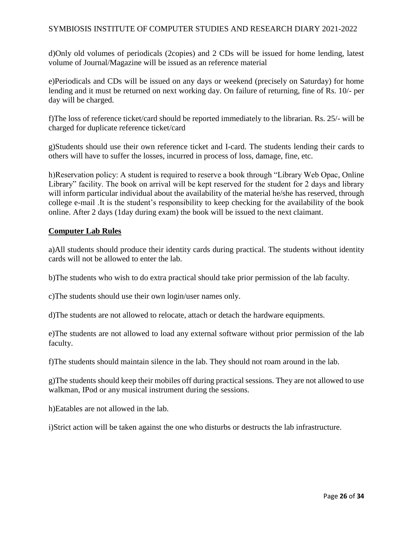d)Only old volumes of periodicals (2copies) and 2 CDs will be issued for home lending, latest volume of Journal/Magazine will be issued as an reference material

e)Periodicals and CDs will be issued on any days or weekend (precisely on Saturday) for home lending and it must be returned on next working day. On failure of returning, fine of Rs. 10/- per day will be charged.

f)The loss of reference ticket/card should be reported immediately to the librarian. Rs. 25/- will be charged for duplicate reference ticket/card

g)Students should use their own reference ticket and I-card. The students lending their cards to others will have to suffer the losses, incurred in process of loss, damage, fine, etc.

h)Reservation policy: A student is required to reserve a book through "Library Web Opac, Online Library" facility. The book on arrival will be kept reserved for the student for 2 days and library will inform particular individual about the availability of the material he/she has reserved, through college e-mail .It is the student's responsibility to keep checking for the availability of the book online. After 2 days (1day during exam) the book will be issued to the next claimant.

### **Computer Lab Rules**

a)All students should produce their identity cards during practical. The students without identity cards will not be allowed to enter the lab.

b)The students who wish to do extra practical should take prior permission of the lab faculty.

c)The students should use their own login/user names only.

d)The students are not allowed to relocate, attach or detach the hardware equipments.

e)The students are not allowed to load any external software without prior permission of the lab faculty.

f)The students should maintain silence in the lab. They should not roam around in the lab.

g)The students should keep their mobiles off during practical sessions. They are not allowed to use walkman, IPod or any musical instrument during the sessions.

h)Eatables are not allowed in the lab.

i)Strict action will be taken against the one who disturbs or destructs the lab infrastructure.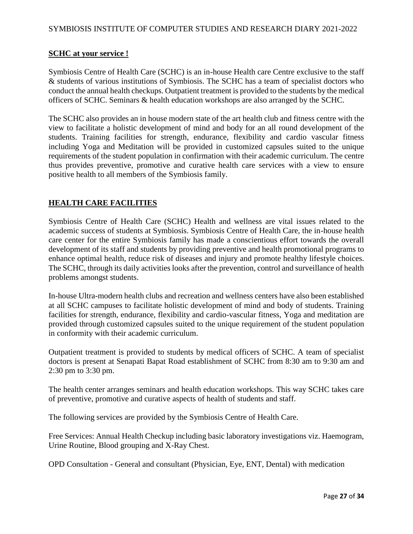## **SCHC at your service !**

Symbiosis Centre of Health Care (SCHC) is an in-house Health care Centre exclusive to the staff & students of various institutions of Symbiosis. The SCHC has a team of specialist doctors who conduct the annual health checkups. Outpatient treatment is provided to the students by the medical officers of SCHC. Seminars & health education workshops are also arranged by the SCHC.

The SCHC also provides an in house modern state of the art health club and fitness centre with the view to facilitate a holistic development of mind and body for an all round development of the students. Training facilities for strength, endurance, flexibility and cardio vascular fitness including Yoga and Meditation will be provided in customized capsules suited to the unique requirements of the student population in confirmation with their academic curriculum. The centre thus provides preventive, promotive and curative health care services with a view to ensure positive health to all members of the Symbiosis family.

## **HEALTH CARE FACILITIES**

Symbiosis Centre of Health Care (SCHC) Health and wellness are vital issues related to the academic success of students at Symbiosis. Symbiosis Centre of Health Care, the in-house health care center for the entire Symbiosis family has made a conscientious effort towards the overall development of its staff and students by providing preventive and health promotional programs to enhance optimal health, reduce risk of diseases and injury and promote healthy lifestyle choices. The SCHC, through its daily activities looks after the prevention, control and surveillance of health problems amongst students.

In-house Ultra-modern health clubs and recreation and wellness centers have also been established at all SCHC campuses to facilitate holistic development of mind and body of students. Training facilities for strength, endurance, flexibility and cardio-vascular fitness, Yoga and meditation are provided through customized capsules suited to the unique requirement of the student population in conformity with their academic curriculum.

Outpatient treatment is provided to students by medical officers of SCHC. A team of specialist doctors is present at Senapati Bapat Road establishment of SCHC from 8:30 am to 9:30 am and 2:30 pm to 3:30 pm.

The health center arranges seminars and health education workshops. This way SCHC takes care of preventive, promotive and curative aspects of health of students and staff.

The following services are provided by the Symbiosis Centre of Health Care.

Free Services: Annual Health Checkup including basic laboratory investigations viz. Haemogram, Urine Routine, Blood grouping and X-Ray Chest.

OPD Consultation - General and consultant (Physician, Eye, ENT, Dental) with medication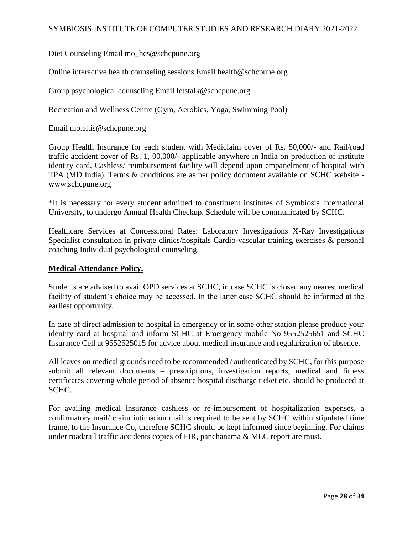Diet Counseling Email mo\_hcs@schcpune.org

Online interactive health counseling sessions Email health@schcpune.org

Group psychological counseling Email letstalk@schcpune.org

Recreation and Wellness Centre (Gym, Aerobics, Yoga, Swimming Pool)

Email mo.eltis@schcpune.org

Group Health Insurance for each student with Mediclaim cover of Rs. 50,000/- and Rail/road traffic accident cover of Rs. 1, 00,000/- applicable anywhere in India on production of institute identity card. Cashless/ reimbursement facility will depend upon empanelment of hospital with TPA (MD India). Terms & conditions are as per policy document available on SCHC website www.schcpune.org

\*It is necessary for every student admitted to constituent institutes of Symbiosis International University, to undergo Annual Health Checkup. Schedule will be communicated by SCHC.

Healthcare Services at Concessional Rates: Laboratory Investigations X-Ray Investigations Specialist consultation in private clinics/hospitals Cardio-vascular training exercises & personal coaching Individual psychological counseling.

#### **Medical Attendance Policy.**

Students are advised to avail OPD services at SCHC, in case SCHC is closed any nearest medical facility of student's choice may be accessed. In the latter case SCHC should be informed at the earliest opportunity.

In case of direct admission to hospital in emergency or in some other station please produce your identity card at hospital and inform SCHC at Emergency mobile No 9552525651 and SCHC Insurance Cell at 9552525015 for advice about medical insurance and regularization of absence.

All leaves on medical grounds need to be recommended / authenticated by SCHC, for this purpose submit all relevant documents – prescriptions, investigation reports, medical and fitness certificates covering whole period of absence hospital discharge ticket etc. should be produced at SCHC.

For availing medical insurance cashless or re-imbursement of hospitalization expenses, a confirmatory mail/ claim intimation mail is required to be sent by SCHC within stipulated time frame, to the Insurance Co, therefore SCHC should be kept informed since beginning. For claims under road/rail traffic accidents copies of FIR, panchanama & MLC report are must.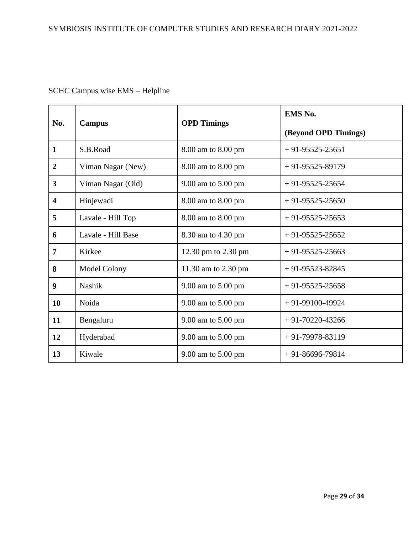# SCHC Campus wise EMS – Helpline

| No.                     | Campus              | <b>OPD</b> Timings  | EMS No.              |  |
|-------------------------|---------------------|---------------------|----------------------|--|
|                         |                     |                     | (Beyond OPD Timings) |  |
| $\mathbf{1}$            | S.B.Road            | 8.00 am to 8.00 pm  | $+91-95525-25651$    |  |
| $\boldsymbol{2}$        | Viman Nagar (New)   | 8.00 am to 8.00 pm  | $+91-95525-89179$    |  |
| $\overline{3}$          | Viman Nagar (Old)   | 9.00 am to 5.00 pm  | $+91-95525-25654$    |  |
| $\overline{\mathbf{4}}$ | Hinjewadi           | 8.00 am to 8.00 pm  | $+91-95525-25650$    |  |
| 5                       | Lavale - Hill Top   | 8.00 am to 8.00 pm  | $+91-95525-25653$    |  |
| 6                       | Lavale - Hill Base  | 8.30 am to 4.30 pm  | $+91-95525-25652$    |  |
| $\overline{7}$          | Kirkee              | 12.30 pm to 2.30 pm | $+91-95525-25663$    |  |
| 8                       | <b>Model Colony</b> | 11.30 am to 2.30 pm | $+91-95523-82845$    |  |
| 9                       | <b>Nashik</b>       | 9.00 am to 5.00 pm  | $+91-95525-25658$    |  |
| 10                      | Noida               | 9.00 am to 5.00 pm  | $+91-99100-49924$    |  |
| 11                      | Bengaluru           | 9.00 am to 5.00 pm  | $+91-70220-43266$    |  |
| 12                      | Hyderabad           | 9.00 am to 5.00 pm  | $+91-79978-83119$    |  |
| 13                      | Kiwale              | 9.00 am to 5.00 pm  | $+91-86696-79814$    |  |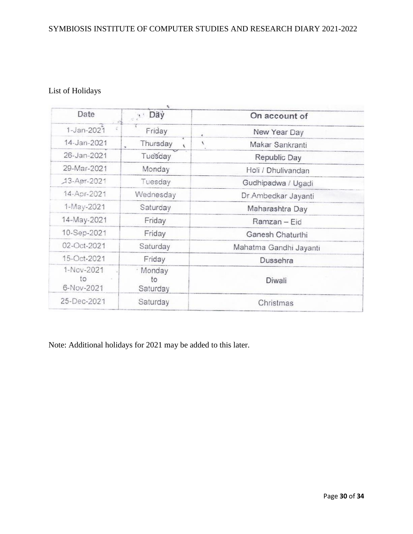# List of Holidays

| Date                           | Day                        | On account of          |
|--------------------------------|----------------------------|------------------------|
| $1 - Jan - 2021$               | Friday                     | New Year Day<br>ë      |
| 14-Jan-2021                    | Thursday<br>$\lambda$      | Makar Sankranti<br>×   |
| 26-Jan-2021                    | Tuesday                    | Republic Day           |
| 29-Mar-2021                    | Monday                     | Holi / Dhulivandan     |
| 13-Apr-2021                    | Tuesday                    | Gudhipadwa / Ugadi     |
| 14-Apr-2021                    | Wednesday                  | Dr.Ambedkar Jayanti    |
| 1-May-2021                     | Saturday                   | Maharashtra Day        |
| 14-May-2021                    | Friday                     | Ramzan - Eid           |
| 10-Sep-2021                    | Friday                     | Ganesh Chaturthi       |
| 02-Oct-2021                    | Saturday                   | Mahatma Gandhi Jayanti |
| 15-Oct-2021                    | Friday                     | Dussehra               |
| 1-Nov-2021<br>to<br>6-Nov-2021 | · Monday<br>to<br>Saturday | Diwali                 |
| 25-Dec-2021                    | Saturday                   | Christmas              |
|                                |                            |                        |

Note: Additional holidays for 2021 may be added to this later.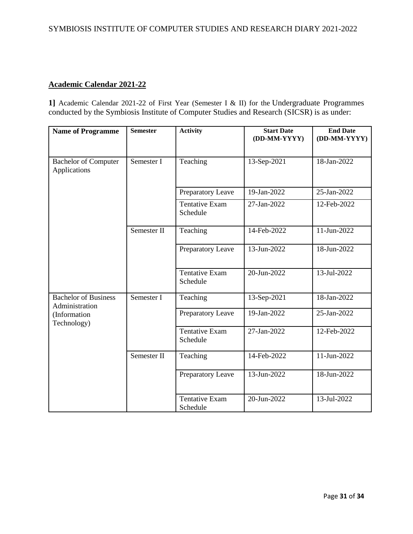## **Academic Calendar 2021-22**

**1]** Academic Calendar 2021-22 of First Year (Semester I & II) for the Undergraduate Programmes conducted by the Symbiosis Institute of Computer Studies and Research (SICSR) is as under:

| <b>Name of Programme</b>                      | <b>Semester</b> | <b>Activity</b>                   | <b>Start Date</b><br>(DD-MM-YYYY) | <b>End Date</b><br>(DD-MM-YYYY) |
|-----------------------------------------------|-----------------|-----------------------------------|-----------------------------------|---------------------------------|
| <b>Bachelor of Computer</b><br>Applications   | Semester I      | Teaching                          | 13-Sep-2021                       | 18-Jan-2022                     |
|                                               |                 | Preparatory Leave                 | 19-Jan-2022                       | 25-Jan-2022                     |
|                                               |                 | Tentative Exam<br>Schedule        | 27-Jan-2022                       | 12-Feb-2022                     |
|                                               | Semester II     | Teaching                          | 14-Feb-2022                       | 11-Jun-2022                     |
|                                               |                 | Preparatory Leave                 | 13-Jun-2022                       | 18-Jun-2022                     |
|                                               |                 | <b>Tentative Exam</b><br>Schedule | 20-Jun-2022                       | 13-Jul-2022                     |
| <b>Bachelor of Business</b><br>Administration | Semester I      | Teaching                          | 13-Sep-2021                       | 18-Jan-2022                     |
| (Information<br>Technology)                   |                 | Preparatory Leave                 | 19-Jan-2022                       | 25-Jan-2022                     |
|                                               |                 | <b>Tentative Exam</b><br>Schedule | 27-Jan-2022                       | 12-Feb-2022                     |
|                                               | Semester II     | Teaching                          | 14-Feb-2022                       | 11-Jun-2022                     |
|                                               |                 | Preparatory Leave                 | 13-Jun-2022                       | 18-Jun-2022                     |
|                                               |                 | <b>Tentative Exam</b><br>Schedule | 20-Jun-2022                       | 13-Jul-2022                     |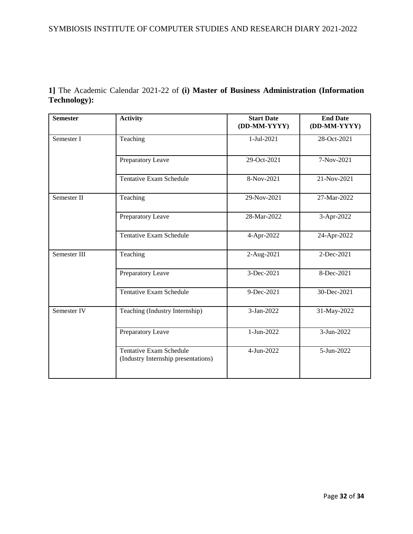|              |  |  |  |  | 1] The Academic Calendar 2021-22 of (i) Master of Business Administration (Information |  |
|--------------|--|--|--|--|----------------------------------------------------------------------------------------|--|
| Technology): |  |  |  |  |                                                                                        |  |

| <b>Semester</b> | <b>Activity</b>                                                       | <b>Start Date</b><br>(DD-MM-YYYY) | <b>End Date</b><br>(DD-MM-YYYY) |
|-----------------|-----------------------------------------------------------------------|-----------------------------------|---------------------------------|
| Semester I      | Teaching                                                              | 1-Jul-2021                        | 28-Oct-2021                     |
|                 | Preparatory Leave                                                     | 29-Oct-2021                       | 7-Nov-2021                      |
|                 | <b>Tentative Exam Schedule</b>                                        | 8-Nov-2021                        | 21-Nov-2021                     |
| Semester II     | Teaching                                                              | 29-Nov-2021                       | 27-Mar-2022                     |
|                 | Preparatory Leave                                                     | 28-Mar-2022                       | 3-Apr-2022                      |
|                 | <b>Tentative Exam Schedule</b>                                        | 4-Apr-2022                        | 24-Apr-2022                     |
| Semester III    | Teaching                                                              | 2-Aug-2021                        | 2-Dec-2021                      |
|                 | Preparatory Leave                                                     | 3-Dec-2021                        | 8-Dec-2021                      |
|                 | <b>Tentative Exam Schedule</b>                                        | 9-Dec-2021                        | 30-Dec-2021                     |
| Semester IV     | Teaching (Industry Internship)                                        | 3-Jan-2022                        | 31-May-2022                     |
|                 | Preparatory Leave                                                     | 1-Jun-2022                        | $3-Jun-2022$                    |
|                 | <b>Tentative Exam Schedule</b><br>(Industry Internship presentations) | 4-Jun-2022                        | 5-Jun-2022                      |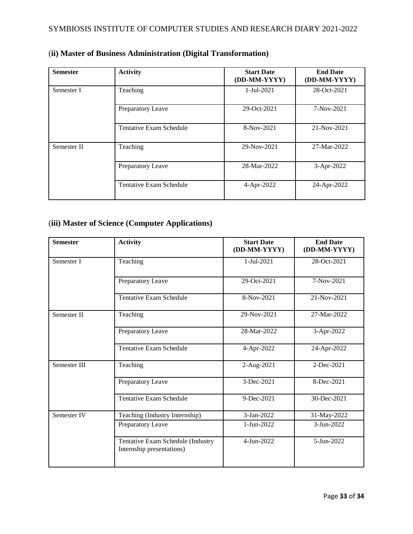| <b>Semester</b> | <b>Activity</b>         | <b>Start Date</b><br>(DD-MM-YYYY) | <b>End Date</b><br>(DD-MM-YYYY) |
|-----------------|-------------------------|-----------------------------------|---------------------------------|
| Semester I      | Teaching                | 1-Jul-2021                        | 28-Oct-2021                     |
|                 | Preparatory Leave       | 29-Oct-2021                       | 7-Nov-2021                      |
|                 | Tentative Exam Schedule | 8-Nov-2021                        | 21-Nov-2021                     |
| Semester II     | Teaching                | 29-Nov-2021                       | 27-Mar-2022                     |
|                 | Preparatory Leave       | 28-Mar-2022                       | 3-Apr-2022                      |
|                 | Tentative Exam Schedule | 4-Apr-2022                        | 24-Apr-2022                     |

# (**ii) Master of Business Administration (Digital Transformation)**

## (**iii) Master of Science (Computer Applications)**

| <b>Semester</b> | <b>Activity</b>                                                | <b>Start Date</b><br>(DD-MM-YYYY) | <b>End Date</b><br>(DD-MM-YYYY) |
|-----------------|----------------------------------------------------------------|-----------------------------------|---------------------------------|
| Semester I      | Teaching                                                       | 1-Jul-2021                        | 28-Oct-2021                     |
|                 | Preparatory Leave                                              | 29-Oct-2021                       | 7-Nov-2021                      |
|                 | <b>Tentative Exam Schedule</b>                                 | 8-Nov-2021                        | 21-Nov-2021                     |
| Semester II     | Teaching                                                       | 29-Nov-2021                       | 27-Mar-2022                     |
|                 | Preparatory Leave                                              | 28-Mar-2022                       | 3-Apr-2022                      |
|                 | Tentative Exam Schedule                                        | 4-Apr-2022                        | 24-Apr-2022                     |
| Semester III    | Teaching                                                       | 2-Aug-2021                        | 2-Dec-2021                      |
|                 | Preparatory Leave                                              | 3-Dec-2021                        | 8-Dec-2021                      |
|                 | <b>Tentative Exam Schedule</b>                                 | 9-Dec-2021                        | 30-Dec-2021                     |
| Semester IV     | Teaching (Industry Internship)                                 | 3-Jan-2022                        | 31-May-2022                     |
|                 | Preparatory Leave                                              | 1-Jun-2022                        | 3-Jun-2022                      |
|                 | Tentative Exam Schedule (Industry<br>Internship presentations) | 4-Jun-2022                        | 5-Jun-2022                      |